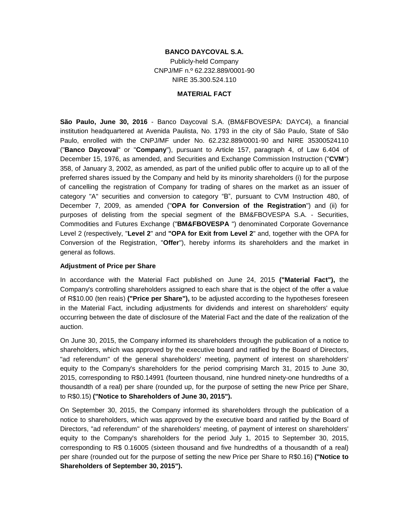## **BANCO DAYCOVAL S.A.**

Publicly-held Company CNPJ/MF n.º 62.232.889/0001-90 NIRE 35.300.524.110

#### **MATERIAL FACT**

**São Paulo, June 30, 2016** - Banco Daycoval S.A. (BM&FBOVESPA: DAYC4), a financial institution headquartered at Avenida Paulista, No. 1793 in the city of São Paulo, State of São Paulo, enrolled with the CNPJ/MF under No. 62.232.889/0001-90 and NIRE 35300524110 ("**Banco Daycoval**" or "**Company**"), pursuant to Article 157, paragraph 4, of Law 6.404 of December 15, 1976, as amended, and Securities and Exchange Commission Instruction ("**CVM**") 358, of January 3, 2002, as amended, as part of the unified public offer to acquire up to all of the preferred shares issued by the Company and held by its minority shareholders (i) for the purpose of cancelling the registration of Company for trading of shares on the market as an issuer of category "A" securities and conversion to category "B", pursuant to CVM Instruction 480, of December 7, 2009, as amended ("**OPA for Conversion of the Registration**") and (ii) for purposes of delisting from the special segment of the BM&FBOVESPA S.A. - Securities, Commodities and Futures Exchange ("**BM&FBOVESPA** ") denominated Corporate Governance Level 2 (respectively, "**Level 2**" and **"OPA for Exit from Level 2**" and, together with the OPA for Conversion of the Registration, "**Offer**"), hereby informs its shareholders and the market in general as follows.

### **Adjustment of Price per Share**

In accordance with the Material Fact published on June 24, 2015 **("Material Fact"),** the Company's controlling shareholders assigned to each share that is the object of the offer a value of R\$10.00 (ten reais) **("Price per Share"),** to be adjusted according to the hypotheses foreseen in the Material Fact, including adjustments for dividends and interest on shareholders' equity occurring between the date of disclosure of the Material Fact and the date of the realization of the auction.

On June 30, 2015, the Company informed its shareholders through the publication of a notice to shareholders, which was approved by the executive board and ratified by the Board of Directors, "ad referendum" of the general shareholders' meeting, payment of interest on shareholders' equity to the Company's shareholders for the period comprising March 31, 2015 to June 30, 2015, corresponding to R\$0.14991 (fourteen thousand, nine hundred ninety-one hundredths of a thousandth of a real) per share (rounded up, for the purpose of setting the new Price per Share, to R\$0.15) **("Notice to Shareholders of June 30, 2015").**

On September 30, 2015, the Company informed its shareholders through the publication of a notice to shareholders, which was approved by the executive board and ratified by the Board of Directors, "ad referendum" of the shareholders' meeting, of payment of interest on shareholders' equity to the Company's shareholders for the period July 1, 2015 to September 30, 2015, corresponding to R\$ 0.16005 (sixteen thousand and five hundredths of a thousandth of a real) per share (rounded out for the purpose of setting the new Price per Share to R\$0.16) **("Notice to Shareholders of September 30, 2015").**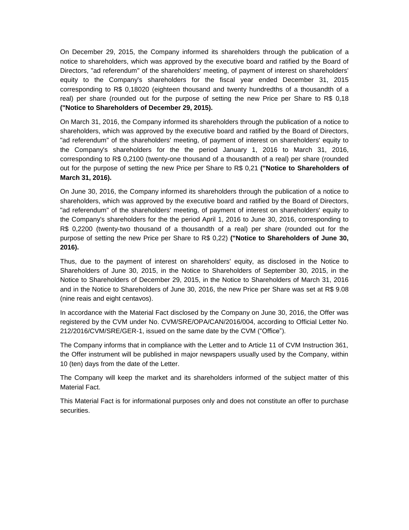On December 29, 2015, the Company informed its shareholders through the publication of a notice to shareholders, which was approved by the executive board and ratified by the Board of Directors, "ad referendum" of the shareholders' meeting, of payment of interest on shareholders' equity to the Company's shareholders for the fiscal year ended December 31, 2015 corresponding to R\$ 0,18020 (eighteen thousand and twenty hundredths of a thousandth of a real) per share (rounded out for the purpose of setting the new Price per Share to R\$ 0,18 **("Notice to Shareholders of December 29, 2015).**

On March 31, 2016, the Company informed its shareholders through the publication of a notice to shareholders, which was approved by the executive board and ratified by the Board of Directors, "ad referendum" of the shareholders' meeting, of payment of interest on shareholders' equity to the Company's shareholders for the the period January 1, 2016 to March 31, 2016, corresponding to R\$ 0,2100 (twenty-one thousand of a thousandth of a real) per share (rounded out for the purpose of setting the new Price per Share to R\$ 0,21 **("Notice to Shareholders of March 31, 2016).**

On June 30, 2016, the Company informed its shareholders through the publication of a notice to shareholders, which was approved by the executive board and ratified by the Board of Directors, "ad referendum" of the shareholders' meeting, of payment of interest on shareholders' equity to the Company's shareholders for the the period April 1, 2016 to June 30, 2016, corresponding to R\$ 0,2200 (twenty-two thousand of a thousandth of a real) per share (rounded out for the purpose of setting the new Price per Share to R\$ 0,22) **("Notice to Shareholders of June 30, 2016).**

Thus, due to the payment of interest on shareholders' equity, as disclosed in the Notice to Shareholders of June 30, 2015, in the Notice to Shareholders of September 30, 2015, in the Notice to Shareholders of December 29, 2015, in the Notice to Shareholders of March 31, 2016 and in the Notice to Shareholders of June 30, 2016, the new Price per Share was set at R\$ 9.08 (nine reais and eight centavos).

In accordance with the Material Fact disclosed by the Company on June 30, 2016, the Offer was registered by the CVM under No. CVM/SRE/OPA/CAN/2016/004, according to Official Letter No. 212/2016/CVM/SRE/GER-1, issued on the same date by the CVM ("Office").

The Company informs that in compliance with the Letter and to Article 11 of CVM Instruction 361, the Offer instrument will be published in major newspapers usually used by the Company, within 10 (ten) days from the date of the Letter.

The Company will keep the market and its shareholders informed of the subject matter of this Material Fact.

This Material Fact is for informational purposes only and does not constitute an offer to purchase securities.